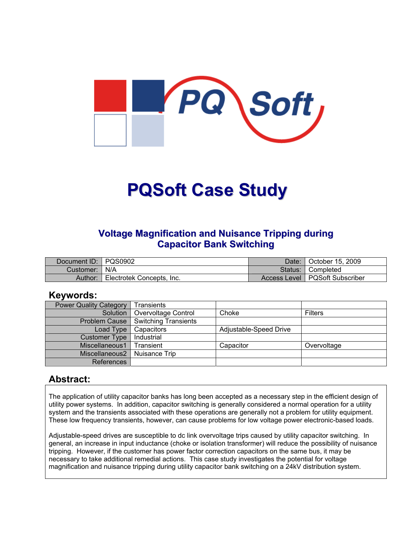

# **PQSoft Case Study**

#### **Voltage Magnification and Nuisance Tripping during Capacitor Bank Switching**

| Document ID: PQS0902 |                           | Date:   | Cotober 15, 2009                 |
|----------------------|---------------------------|---------|----------------------------------|
| Customer:   N/A      |                           | Status: | <sup>4</sup> Completed           |
| Author:              | Electrotek Concepts, Inc. |         | Access Level   PQSoft Subscriber |

#### **Keywords:**

| <b>Power Quality Category</b> | <b>Transients</b>    |                        |                |
|-------------------------------|----------------------|------------------------|----------------|
| Solution                      | Overvoltage Control  | Choke                  | <b>Filters</b> |
| <b>Problem Cause</b>          | Switching Transients |                        |                |
| Load Type                     | Capacitors           | Adjustable-Speed Drive |                |
| <b>Customer Type</b>          | Industrial           |                        |                |
| Miscellaneous1                | Transient            | Capacitor              | Overvoltage    |
| Miscellaneous2                | Nuisance Trip        |                        |                |
| References                    |                      |                        |                |

#### **Abstract:**

The application of utility capacitor banks has long been accepted as a necessary step in the efficient design of utility power systems. In addition, capacitor switching is generally considered a normal operation for a utility system and the transients associated with these operations are generally not a problem for utility equipment. These low frequency transients, however, can cause problems for low voltage power electronic-based loads.

Adjustable-speed drives are susceptible to dc link overvoltage trips caused by utility capacitor switching. In general, an increase in input inductance (choke or isolation transformer) will reduce the possibility of nuisance tripping. However, if the customer has power factor correction capacitors on the same bus, it may be necessary to take additional remedial actions. This case study investigates the potential for voltage magnification and nuisance tripping during utility capacitor bank switching on a 24kV distribution system.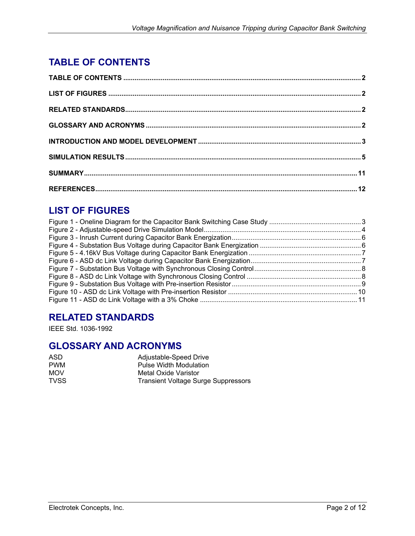## <span id="page-1-0"></span>**TABLE OF CONTENTS**

## **LIST OF FIGURES**

## **RELATED STANDARDS**

IEEE Std. 1036-1992

## **GLOSSARY AND ACRONYMS**

| ASD.        | Adjustable-Speed Drive                     |
|-------------|--------------------------------------------|
| <b>PWM</b>  | <b>Pulse Width Modulation</b>              |
| <b>MOV</b>  | Metal Oxide Varistor                       |
| <b>TVSS</b> | <b>Transient Voltage Surge Suppressors</b> |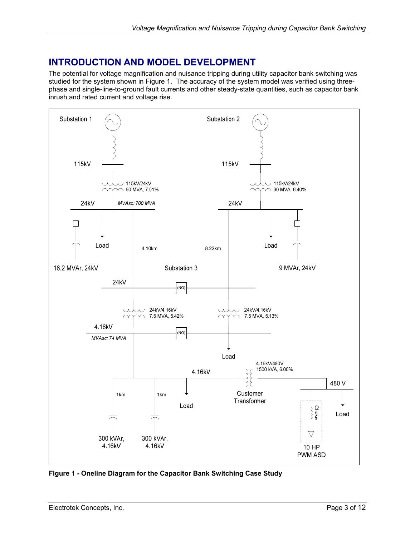## <span id="page-2-0"></span>**INTRODUCTION AND MODEL DEVELOPMENT**

The potential for voltage magnification and nuisance tripping during utility capacitor bank switching was studied for the system shown in [Figure 1.](#page-2-1) The accuracy of the system model was verified using threephase and single-line-to-ground fault currents and other steady-state quantities, such as capacitor bank inrush and rated current and voltage rise.

<span id="page-2-1"></span>

**Figure 1 - Oneline Diagram for the Capacitor Bank Switching Case Study**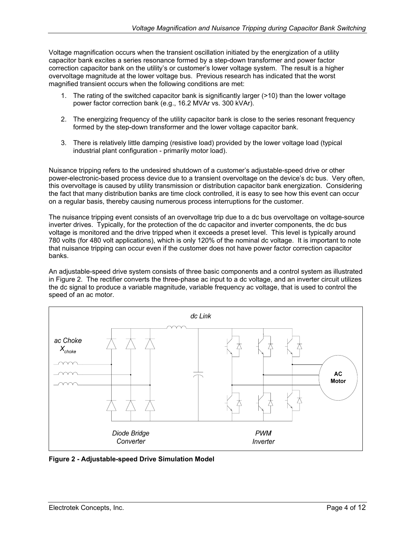<span id="page-3-0"></span>Voltage magnification occurs when the transient oscillation initiated by the energization of a utility capacitor bank excites a series resonance formed by a step-down transformer and power factor correction capacitor bank on the utility's or customer's lower voltage system. The result is a higher overvoltage magnitude at the lower voltage bus. Previous research has indicated that the worst magnified transient occurs when the following conditions are met:

- 1. The rating of the switched capacitor bank is significantly larger (>10) than the lower voltage power factor correction bank (e.g., 16.2 MVAr vs. 300 kVAr).
- 2. The energizing frequency of the utility capacitor bank is close to the series resonant frequency formed by the step-down transformer and the lower voltage capacitor bank.
- 3. There is relatively little damping (resistive load) provided by the lower voltage load (typical industrial plant configuration - primarily motor load).

Nuisance tripping refers to the undesired shutdown of a customer's adjustable-speed drive or other power-electronic-based process device due to a transient overvoltage on the device's dc bus. Very often, this overvoltage is caused by utility transmission or distribution capacitor bank energization. Considering the fact that many distribution banks are time clock controlled, it is easy to see how this event can occur on a regular basis, thereby causing numerous process interruptions for the customer.

The nuisance tripping event consists of an overvoltage trip due to a dc bus overvoltage on voltage-source inverter drives. Typically, for the protection of the dc capacitor and inverter components, the dc bus voltage is monitored and the drive tripped when it exceeds a preset level. This level is typically around 780 volts (for 480 volt applications), which is only 120% of the nominal dc voltage. It is important to note that nuisance tripping can occur even if the customer does not have power factor correction capacitor banks.

An adjustable-speed drive system consists of three basic components and a control system as illustrated in [Figure 2.](#page-3-1) The rectifier converts the three-phase ac input to a dc voltage, and an inverter circuit utilizes the dc signal to produce a variable magnitude, variable frequency ac voltage, that is used to control the speed of an ac motor.

<span id="page-3-1"></span>

**Figure 2 - Adjustable-speed Drive Simulation Model**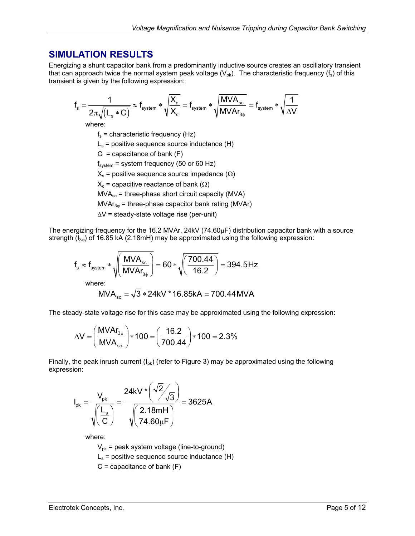#### <span id="page-4-0"></span>**SIMULATION RESULTS**

Energizing a shunt capacitor bank from a predominantly inductive source creates an oscillatory transient that can approach twice the normal system peak voltage  $(V_{\text{ok}})$ . The characteristic frequency  $(f_s)$  of this transient is given by the following expression:

$$
f_s = \frac{1}{2\pi\sqrt{\left(L_s*C\right)}} \approx f_{\text{system}} * \sqrt{\frac{X_c}{X_s}} = f_{\text{system}} * \sqrt{\frac{MVA_{\text{sc}}}{MVAr_{3\varphi}}} = f_{\text{system}} * \sqrt{\frac{1}{\Delta V}}
$$

where:

 $f_s$  = characteristic frequency (Hz)

 $L<sub>s</sub>$  = positive sequence source inductance (H)

 $C =$  capacitance of bank  $(F)$ 

 $f_{system}$  = system frequency (50 or 60 Hz)

 $X<sub>s</sub>$  = positive sequence source impedance ( $\Omega$ )

 $X_c$  = capacitive reactance of bank ( $\Omega$ )

 $MVA<sub>sc</sub>$  = three-phase short circuit capacity (MVA)

 $MVAr_{3\phi}$  = three-phase capacitor bank rating (MVAr)

∆V = steady-state voltage rise (per-unit)

The energizing frequency for the 16.2 MVAr, 24kV (74.60µF) distribution capacitor bank with a source strength  $(I_{3\omega})$  of 16.85 kA (2.18mH) may be approximated using the following expression:

$$
f_s \approx f_{\text{system}} * \sqrt{\left(\frac{\text{MVA}_{\text{sc}}}{\text{MVA}_{\text{3}\phi}}\right)} = 60 * \sqrt{\left(\frac{700.44}{16.2}\right)} = 394.5 \text{ Hz}
$$

where:

$$
MVA_{sc} = \sqrt{3} * 24kV * 16.85kA = 700.44 MVA
$$

The steady-state voltage rise for this case may be approximated using the following expression:

$$
\Delta V = \left(\frac{M V A r_{3\phi}}{M V A_{\rm sc}}\right) * 100 = \left(\frac{16.2}{700.44}\right) * 100 = 2.3\%
$$

Finally, the peak inrush current  $(I_{\text{ok}})$  (refer to [Figure 3\)](#page-5-1) may be approximated using the following expression:

$$
I_{pk} = \frac{V_{pk}}{\sqrt{\left(\frac{L_s}{C}\right)}} = \frac{24kV \cdot \left(\frac{\sqrt{2}}{\sqrt{3}}\right)}{\sqrt{\left(\frac{2.18mH}{74.60\mu F}\right)}} = 3625A
$$

where:

 $V_{pk}$  = peak system voltage (line-to-ground)  $L<sub>s</sub>$  = positive sequence source inductance (H)

$$
C =
$$
 capacitance of bank  $(F)$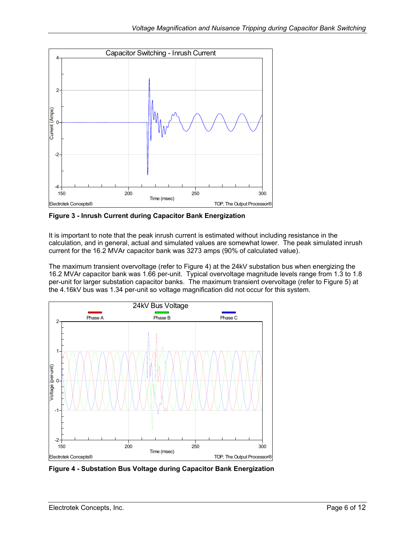<span id="page-5-1"></span><span id="page-5-0"></span>

**Figure 3 - Inrush Current during Capacitor Bank Energization** 

It is important to note that the peak inrush current is estimated without including resistance in the calculation, and in general, actual and simulated values are somewhat lower. The peak simulated inrush current for the 16.2 MVAr capacitor bank was 3273 amps (90% of calculated value).

The maximum transient overvoltage (refer to [Figure 4\)](#page-5-2) at the 24kV substation bus when energizing the 16.2 MVAr capacitor bank was 1.66 per-unit. Typical overvoltage magnitude levels range from 1.3 to 1.8 per-unit for larger substation capacitor banks. The maximum transient overvoltage (refer to [Figure 5\)](#page-6-1) at the 4.16kV bus was 1.34 per-unit so voltage magnification did not occur for this system.

<span id="page-5-2"></span>

**Figure 4 - Substation Bus Voltage during Capacitor Bank Energization**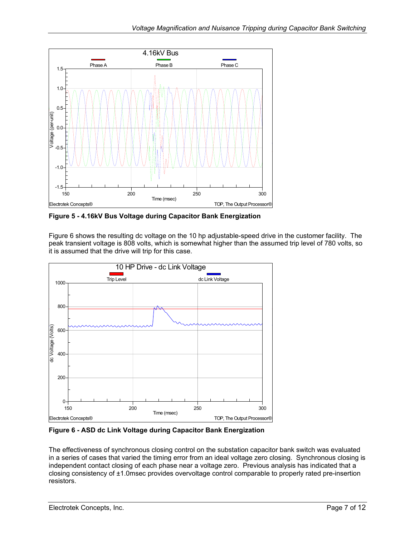<span id="page-6-1"></span><span id="page-6-0"></span>

**Figure 5 - 4.16kV Bus Voltage during Capacitor Bank Energization** 

[Figure 6](#page-6-2) shows the resulting dc voltage on the 10 hp adjustable-speed drive in the customer facility. The peak transient voltage is 808 volts, which is somewhat higher than the assumed trip level of 780 volts, so it is assumed that the drive will trip for this case.

<span id="page-6-2"></span>

**Figure 6 - ASD dc Link Voltage during Capacitor Bank Energization**

The effectiveness of synchronous closing control on the substation capacitor bank switch was evaluated in a series of cases that varied the timing error from an ideal voltage zero closing. Synchronous closing is independent contact closing of each phase near a voltage zero. Previous analysis has indicated that a closing consistency of ±1.0msec provides overvoltage control comparable to properly rated pre-insertion resistors.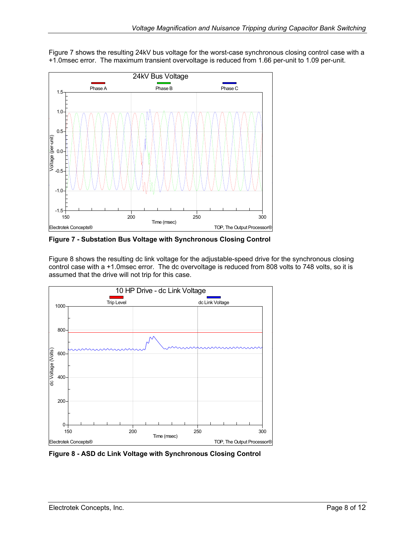<span id="page-7-1"></span>

<span id="page-7-0"></span>[Figure 7](#page-7-1) shows the resulting 24kV bus voltage for the worst-case synchronous closing control case with a +1.0msec error. The maximum transient overvoltage is reduced from 1.66 per-unit to 1.09 per-unit.

**Figure 7 - Substation Bus Voltage with Synchronous Closing Control** 

[Figure 8](#page-7-2) shows the resulting dc link voltage for the adjustable-speed drive for the synchronous closing control case with a +1.0msec error. The dc overvoltage is reduced from 808 volts to 748 volts, so it is assumed that the drive will not trip for this case.

<span id="page-7-2"></span>

**Figure 8 - ASD dc Link Voltage with Synchronous Closing Control**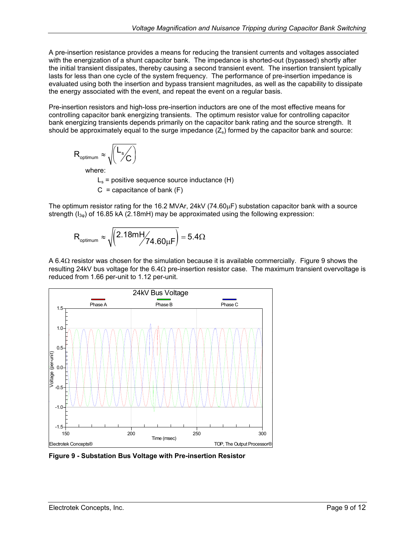<span id="page-8-0"></span>A pre-insertion resistance provides a means for reducing the transient currents and voltages associated with the energization of a shunt capacitor bank. The impedance is shorted-out (bypassed) shortly after the initial transient dissipates, thereby causing a second transient event. The insertion transient typically lasts for less than one cycle of the system frequency. The performance of pre-insertion impedance is evaluated using both the insertion and bypass transient magnitudes, as well as the capability to dissipate the energy associated with the event, and repeat the event on a regular basis.

Pre-insertion resistors and high-loss pre-insertion inductors are one of the most effective means for controlling capacitor bank energizing transients. The optimum resistor value for controlling capacitor bank energizing transients depends primarily on the capacitor bank rating and the source strength. It should be approximately equal to the surge impedance  $(Z<sub>s</sub>)$  formed by the capacitor bank and source:

$$
R_{\text{optimum}} \approx \sqrt{\left(\frac{L_s}{C}\right)}
$$

where:

 $L<sub>s</sub>$  = positive sequence source inductance (H)  $C =$  capacitance of bank  $(F)$ 

The optimum resistor rating for the 16.2 MVAr, 24kV (74.60µF) substation capacitor bank with a source strength  $(I_{3\omega})$  of 16.85 kA (2.18mH) may be approximated using the following expression:

$$
R_{\text{optimum}} \approx \sqrt{\left(2.18 m H \middle/ 74.60 \mu F \right)} = 5.4 \Omega
$$

A 6.4Ω resistor was chosen for the simulation because it is available commercially. [Figure 9](#page-8-1) shows the resulting 24kV bus voltage for the 6.4Ω pre-insertion resistor case. The maximum transient overvoltage is reduced from 1.66 per-unit to 1.12 per-unit.

<span id="page-8-1"></span>

**Figure 9 - Substation Bus Voltage with Pre-insertion Resistor**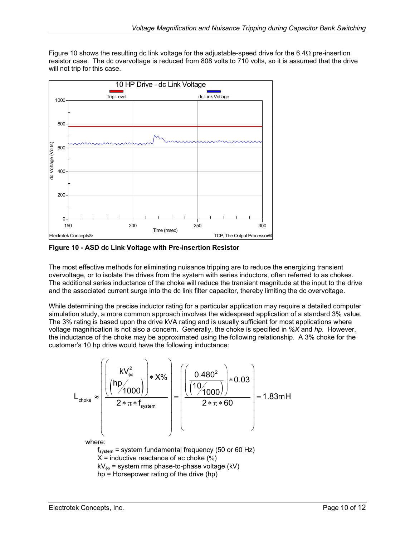<span id="page-9-0"></span>[Figure 10](#page-9-1) shows the resulting dc link voltage for the adjustable-speed drive for the 6.4 $\Omega$  pre-insertion resistor case. The dc overvoltage is reduced from 808 volts to 710 volts, so it is assumed that the drive will not trip for this case.

<span id="page-9-1"></span>

**Figure 10 - ASD dc Link Voltage with Pre-insertion Resistor** 

The most effective methods for eliminating nuisance tripping are to reduce the energizing transient overvoltage, or to isolate the drives from the system with series inductors, often referred to as chokes. The additional series inductance of the choke will reduce the transient magnitude at the input to the drive and the associated current surge into the dc link filter capacitor, thereby limiting the dc overvoltage.

While determining the precise inductor rating for a particular application may require a detailed computer simulation study, a more common approach involves the widespread application of a standard 3% value. The 3% rating is based upon the drive kVA rating and is usually sufficient for most applications where voltage magnification is not also a concern. Generally, the choke is specified in *%X* and *hp*. However, the inductance of the choke may be approximated using the following relationship. A 3% choke for the customer's 10 hp drive would have the following inductance:

$$
L_{\text{choke}} \approx \left(\frac{\left(\frac{kV_{\phi\phi}^2}{(hp_{\text{1000}})}\right) * X\%}{2 * \pi * f_{\text{system}}}\right) = \left(\frac{\left(\frac{0.480^2}{(10_{\text{1000}})}\right) * 0.03}{2 * \pi * 60}\right) = 1.83 \text{mH}
$$
\nwhere:  
\n $f_{\text{system}} = \text{system fundamental frequency (50 or 60 Hz)}$   
\n $X = \text{inductive reactance of ac chose (%)}$   
\n $kV_{\phi\phi} = \text{system rms phase-to-phase voltage (kV)}$   
\n $hp = \text{Horsepower rating of the drive (hp)}$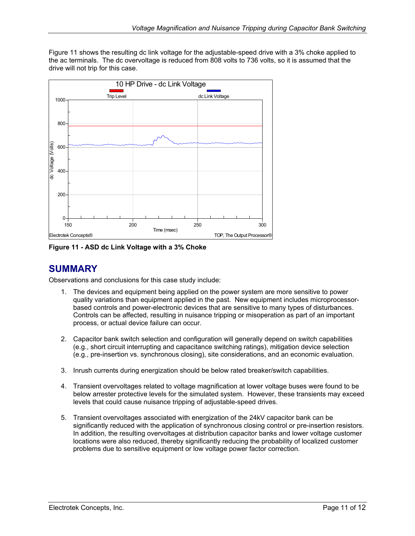<span id="page-10-0"></span>[Figure 11](#page-10-1) shows the resulting dc link voltage for the adjustable-speed drive with a 3% choke applied to the ac terminals. The dc overvoltage is reduced from 808 volts to 736 volts, so it is assumed that the drive will not trip for this case.

<span id="page-10-1"></span>

**Figure 11 - ASD dc Link Voltage with a 3% Choke** 

### **SUMMARY**

Observations and conclusions for this case study include:

- 1. The devices and equipment being applied on the power system are more sensitive to power quality variations than equipment applied in the past. New equipment includes microprocessorbased controls and power-electronic devices that are sensitive to many types of disturbances. Controls can be affected, resulting in nuisance tripping or misoperation as part of an important process, or actual device failure can occur.
- 2. Capacitor bank switch selection and configuration will generally depend on switch capabilities (e.g., short circuit interrupting and capacitance switching ratings), mitigation device selection (e.g., pre-insertion vs. synchronous closing), site considerations, and an economic evaluation.
- 3. Inrush currents during energization should be below rated breaker/switch capabilities.
- 4. Transient overvoltages related to voltage magnification at lower voltage buses were found to be below arrester protective levels for the simulated system. However, these transients may exceed levels that could cause nuisance tripping of adjustable-speed drives.
- 5. Transient overvoltages associated with energization of the 24kV capacitor bank can be significantly reduced with the application of synchronous closing control or pre-insertion resistors. In addition, the resulting overvoltages at distribution capacitor banks and lower voltage customer locations were also reduced, thereby significantly reducing the probability of localized customer problems due to sensitive equipment or low voltage power factor correction.